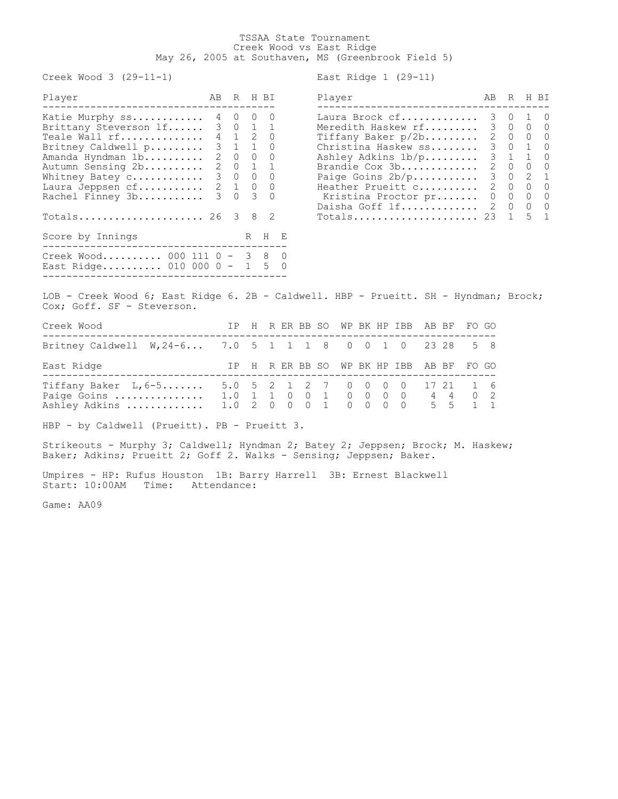## TSSAA State Tournament Creek Wood vs East Ridge May 26, 2005 at Southaven, MS (Greenbrook Field 5)

Creek Wood 3 (29-11-1) East Ridge 1 (29-11)

| Player                                                       | AB | R H BI  |                     | Player                                            | AB | R | H BI                                      |            |
|--------------------------------------------------------------|----|---------|---------------------|---------------------------------------------------|----|---|-------------------------------------------|------------|
| Katie Murphy ss 4 0 0<br>Brittany Steverson 1f 3 0 1 1       |    |         | $\overline{0}$      | Laura Brock cf 3 0 1 0<br>Meredith Haskew rf 3 0  |    |   | $\bigcirc$                                | $\bigcirc$ |
| Teale Wall rf 4 1 2 0                                        |    |         |                     | Tiffany Baker $p/2b$                              |    |   | 2 0 0 0                                   |            |
| Britney Caldwell p 3 1 1 0<br>Amanda Hyndman 1b              |    | 2 0 0 0 |                     | Christina Haskew ss<br>Ashley Adkins 1b/p 3 1 1 0 |    |   | 3 0 1 0                                   |            |
| Autumn Sensing 2b 2 0 1 1<br>Whitney Batey c 3 0 0 0         |    |         |                     | Brandie Cox 3b<br>Paige Goins $2b/p$ 3 0 2 1      |    |   | 2 0 0 0                                   |            |
| Laura Jeppsen cf 2 1 0 0                                     |    |         |                     | Heather Prueitt c                                 |    |   | 2 0 0 0                                   |            |
| Rachel Finney 3b                                             | 3  |         | $0 \quad 3 \quad 0$ | Kristina Proctor pr<br>Daisha Goff lf 2 0         |    |   | $0\qquad 0\qquad 0\qquad 0$<br>$0\quad 0$ |            |
| $Totals$ 26 3                                                |    |         | 8 2                 | Totals 23 1 5 1                                   |    |   |                                           |            |
| Score by Innings<br>--------------------                     |    | R       | $H$ E               |                                                   |    |   |                                           |            |
| Creek Wood 000 111 0 - 3 8 0<br>East Ridge 010 000 0 - 1 5 0 |    |         |                     |                                                   |    |   |                                           |            |

| Player                                                            | AВ            | R            |                | H BI         |
|-------------------------------------------------------------------|---------------|--------------|----------------|--------------|
| Laura Brock cf                                                    | 3             | 0            | 1              | 0            |
| Meredith Haskew rf                                                | $\mathcal{B}$ | $\Omega$     | $\Omega$       | - 0          |
| Tiffany Baker $p/2b$                                              | 2.            | $\Omega$     | $\overline{0}$ | - 0          |
| Christina Haskew ss                                               | 3             | $\circ$      | $\mathbf{1}$   | $\Omega$     |
| Ashley Adkins 1b/p                                                | 3             | 1            | 1              | ∩            |
| Brandie Cox 3b                                                    | 2             | $\Omega$     | $\circ$        | $\Omega$     |
| Paige Goins $2b/p$                                                | $\mathcal{E}$ | $\Omega$     | $\mathcal{L}$  | $\mathbf{1}$ |
| Heather Prueitt c                                                 | 2             | $\mathbf{0}$ | $\Omega$       | $\Omega$     |
| Kristina Proctor pr                                               | 0             | 0            | $\Omega$       | $\cap$       |
| Daisha Goff lf                                                    | 2.            | 0            | $\circ$        | $\Omega$     |
| $\texttt{Totals} \dots \dots \dots \dots \dots \dots \dots \dots$ | 23            |              | - 5            | 1            |
|                                                                   |               |              |                |              |

LOB - Creek Wood 6; East Ridge 6. 2B - Caldwell. HBP - Prueitt. SH - Hyndman; Brock; Cox; Goff. SF - Steverson.

| Creek Wood                                                                                             |  |  |  |  | IP H R ER BB SO WP BK HP IBB AB BF FO GO |  |  |
|--------------------------------------------------------------------------------------------------------|--|--|--|--|------------------------------------------|--|--|
| Britney Caldwell W, 24-6 7.0 5 1 1 1 8 0 0 1 0 23 28 5 8                                               |  |  |  |  |                                          |  |  |
| East Ridge                                                                                             |  |  |  |  | IP H R ER BB SO WP BK HP IBB AB BF FO GO |  |  |
| Tiffany Baker L, 6-5 5.0 5 2 1 2 7 0 0 0 0 17 21 1 6<br>Ashley Adkins  1.0 2 0 0 0 1 0 0 0 0 0 5 5 1 1 |  |  |  |  |                                          |  |  |

HBP - by Caldwell (Prueitt). PB - Prueitt 3.

Strikeouts - Murphy 3; Caldwell; Hyndman 2; Batey 2; Jeppsen; Brock; M. Haskew; Baker; Adkins; Prueitt 2; Goff 2. Walks - Sensing; Jeppsen; Baker.

Umpires - HP: Rufus Houston 1B: Barry Harrell 3B: Ernest Blackwell Start: 10:00AM Time: Attendance:

Game: AA09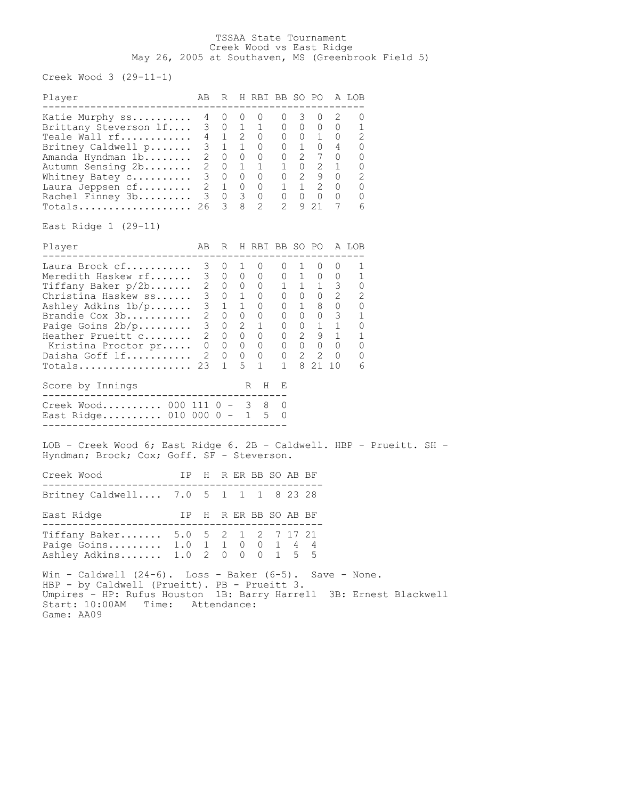## TSSAA State Tournament Creek Wood vs East Ridge May 26, 2005 at Southaven, MS (Greenbrook Field 5)

Creek Wood 3 (29-11-1)

| Player                                                                                                                                                                                                                                                            | AB |                |                | R H RBI BB SO PO A LOB    |  |   |                    |  |  |
|-------------------------------------------------------------------------------------------------------------------------------------------------------------------------------------------------------------------------------------------------------------------|----|----------------|----------------|---------------------------|--|---|--------------------|--|--|
| -----------------------------------<br>Xatie Murphy ss 4 0 0 0 0 0 3 0 2 0<br>Brittany Steverson 1f 3 0 1 1 0 0 0 0 0 1<br>Teale Wall rf 4 1 2 0 0 0 1 0 2<br>Britney Caldwell p 3 1 1 0 0 1 0 4 0<br>Amanda Hyndman 1b 2 0 0 0 0 0<br>Totals 26 3 8 2 2 9 21 7 6 |    |                |                |                           |  |   | ------------------ |  |  |
| East Ridge 1 (29-11)                                                                                                                                                                                                                                              |    |                |                |                           |  |   |                    |  |  |
| Player<br>-------------------------------------                                                                                                                                                                                                                   |    |                |                | AB R H RBI BB SO PO A LOB |  |   |                    |  |  |
| $Totals$ 23                                                                                                                                                                                                                                                       |    | $\overline{1}$ | 5 <sup>5</sup> |                           |  |   | 1 1 8 21 10 6      |  |  |
| Score by Innings                                                                                                                                                                                                                                                  |    |                |                | R H E                     |  |   |                    |  |  |
| Creek Wood 000 111 0 - 3 8 0<br>East Ridge 010 000 0 - 1 5 0                                                                                                                                                                                                      |    |                |                |                           |  |   |                    |  |  |
| LOB - Creek Wood 6; East Ridge 6. 2B - Caldwell. HBP - Prueitt. SH -<br>Hyndman; Brock; Cox; Goff. SF - Steverson.<br>Creek Wood More IP H R ER BB SO AB BF                                                                                                       |    |                |                |                           |  |   |                    |  |  |
| Britney Caldwell 7.0 5 1 1 1 8 23 28                                                                                                                                                                                                                              |    |                |                |                           |  |   |                    |  |  |
| IP H R ER BB SO AB BF<br>East Ridge                                                                                                                                                                                                                               |    |                |                |                           |  |   |                    |  |  |
| Tiffany Baker 5.0 5 2 1 2 7 17 21<br>Paige Goins 1.0 1 1 0 0 1 4 4<br>Ashley Adkins 1.0 2 0 0 0 1 5                                                                                                                                                               |    |                |                |                           |  | 5 |                    |  |  |
| Win - Caldwell $(24-6)$ . Loss - Baker $(6-5)$ . Save - None.<br>HBP - by Caldwell (Prueitt). PB - Prueitt 3.<br>Umpires - HP: Rufus Houston 1B: Barry Harrell 3B: Ernest Blackwell<br>Start: 10:00AM Time: Attendance:                                           |    |                |                |                           |  |   |                    |  |  |

Game: AA09